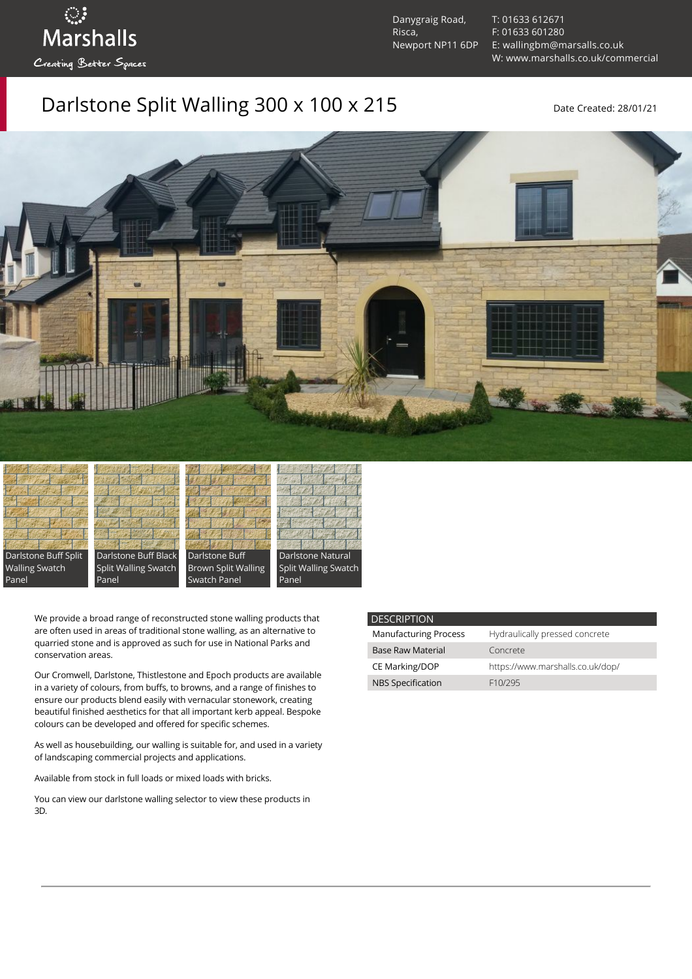Danygraig Road, Risca, Newport NP11 6DP [T: 01633 612671](tel:01633%20612671) [F: 01633 601280](tel:01633%20601280) [E: wallingbm@marsalls.co.uk](mailto:wallingbm@marsalls.co.uk) [W: www.marshalls.co.uk/commercial](https://www.marshalls.co.uk/commercial)

## Darlstone Split Walling 300 x 100 x 215 Date Created: 28/01/21





ः<br>Marshalls

Creating Better Spaces







Panel

We provide a broad range of reconstructed stone walling products that are often used in areas of traditional stone walling, as an alternative to quarried stone and is approved as such for use in National Parks and conservation areas.

Our [Cromwell](https://www.marshalls.co.uk/commercial/product/cromwell-stone-walling), Darlstone, [Thistlestone](https://www.marshalls.co.uk/commercial/product/thistlestone-stone-walling) and Epoch products are available in a variety of colours, from buffs, to browns, and a range of finishes to ensure our products blend easily with vernacular stonework, creating beautiful finished aesthetics for that all important kerb appeal. Bespoke colours can be developed and offered for specific schemes.

As well as housebuilding, our walling is suitable for, and used in a variety of landscaping commercial projects and applications.

Available from stock in full loads or mixed loads with bricks.

You can view our [darlstone walling selector](https://www.paverpicker.com/paverpicker/?u=edenhall&cat=walling&subcat=darlstone_walling) to view these products in 3D.

| <b>DESCRIPTION</b>           |                                  |
|------------------------------|----------------------------------|
| <b>Manufacturing Process</b> | Hydraulically pressed concrete   |
| <b>Base Raw Material</b>     | Concrete                         |
| CE Marking/DOP               | https://www.marshalls.co.uk/dop/ |
| <b>NBS Specification</b>     | F <sub>10</sub> /295             |